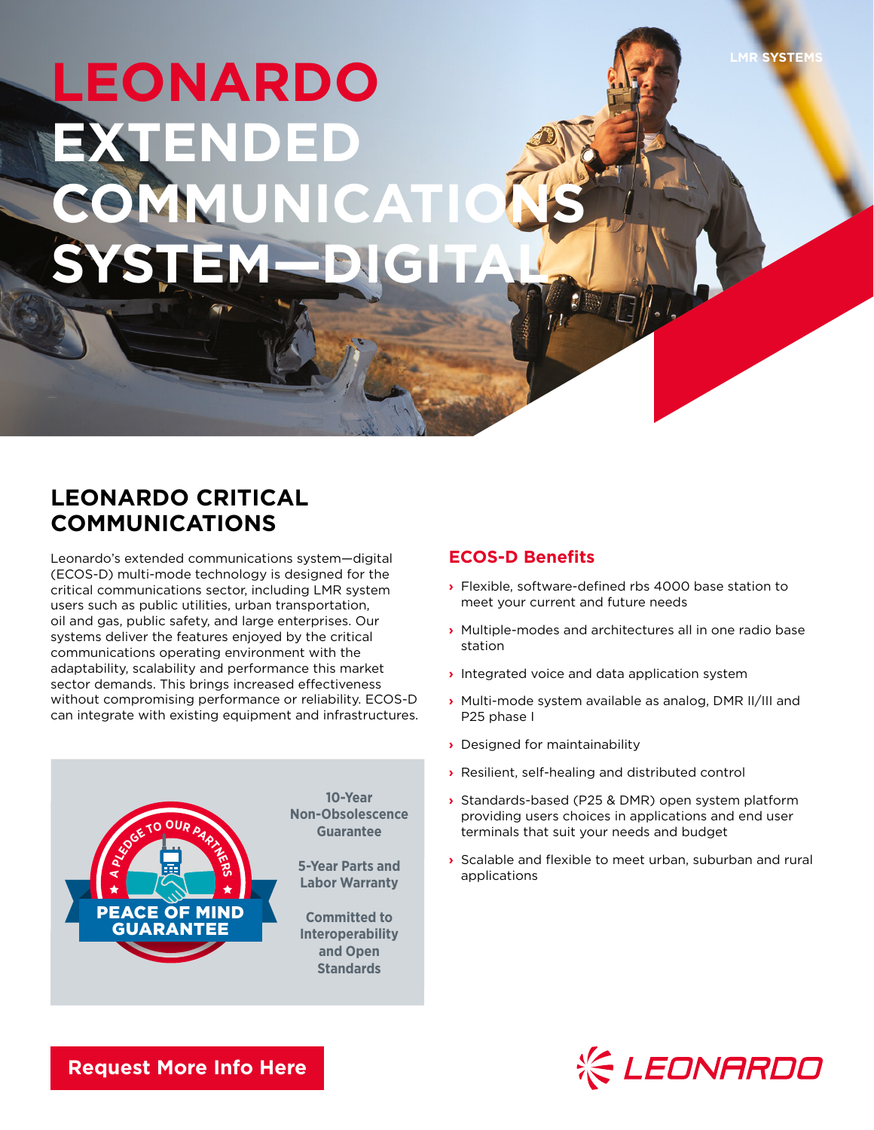## LEONARDO **ARDO EXTENDED COMMUNICATI SYSTEM—DIGITAL**

## **LEONARDO CRITICAL COMMUNICATIONS**

Leonardo's extended communications system—digital (ECOS-D) multi-mode technology is designed for the critical communications sector, including LMR system users such as public utilities, urban transportation, oil and gas, public safety, and large enterprises. Our systems deliver the features enjoyed by the critical communications operating environment with the adaptability, scalability and performance this market sector demands. This brings increased effectiveness without compromising performance or reliability. ECOS-D can integrate with existing equipment and infrastructures.



## **ECOS-D Benefits**

- **›** Flexible, software-defined rbs 4000 base station to meet your current and future needs
- **›** Multiple-modes and architectures all in one radio base station
- **›** Integrated voice and data application system
- **›** Multi-mode system available as analog, DMR II/III and P25 phase I
- **›** Designed for maintainability
- **›** Resilient, self-healing and distributed control
- **›** Standards-based (P25 & DMR) open system platform providing users choices in applications and end user terminals that suit your needs and budget
- **›** Scalable and flexible to meet urban, suburban and rural applications



**[Request More Info Here](https://www.leonardocompany-us.com/lmr/lmr-digital-brochures)**